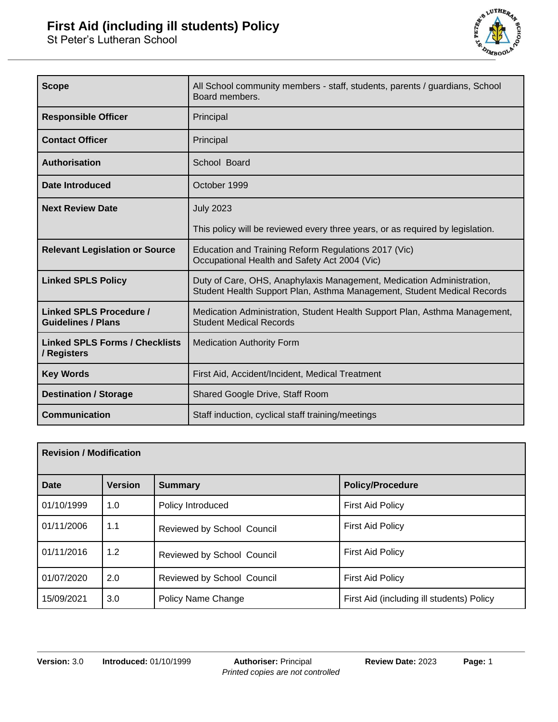St Peter's Lutheran School



| <b>Scope</b>                                                | All School community members - staff, students, parents / guardians, School<br>Board members.                                                    |  |
|-------------------------------------------------------------|--------------------------------------------------------------------------------------------------------------------------------------------------|--|
| <b>Responsible Officer</b>                                  | Principal                                                                                                                                        |  |
| <b>Contact Officer</b>                                      | Principal                                                                                                                                        |  |
| Authorisation                                               | School Board                                                                                                                                     |  |
| Date Introduced                                             | October 1999                                                                                                                                     |  |
| <b>Next Review Date</b>                                     | <b>July 2023</b>                                                                                                                                 |  |
|                                                             | This policy will be reviewed every three years, or as required by legislation.                                                                   |  |
| <b>Relevant Legislation or Source</b>                       | Education and Training Reform Regulations 2017 (Vic)<br>Occupational Health and Safety Act 2004 (Vic)                                            |  |
| <b>Linked SPLS Policy</b>                                   | Duty of Care, OHS, Anaphylaxis Management, Medication Administration,<br>Student Health Support Plan, Asthma Management, Student Medical Records |  |
| <b>Linked SPLS Procedure /</b><br><b>Guidelines / Plans</b> | Medication Administration, Student Health Support Plan, Asthma Management,<br><b>Student Medical Records</b>                                     |  |
| <b>Linked SPLS Forms / Checklists</b><br>/ Registers        | <b>Medication Authority Form</b>                                                                                                                 |  |
| <b>Key Words</b>                                            | First Aid, Accident/Incident, Medical Treatment                                                                                                  |  |
| <b>Destination / Storage</b>                                | Shared Google Drive, Staff Room                                                                                                                  |  |
| <b>Communication</b>                                        | Staff induction, cyclical staff training/meetings                                                                                                |  |

| <b>Revision / Modification</b> |                |                            |                                           |  |  |
|--------------------------------|----------------|----------------------------|-------------------------------------------|--|--|
| Date                           | <b>Version</b> | <b>Summary</b>             | <b>Policy/Procedure</b>                   |  |  |
| 01/10/1999                     | 1.0            | Policy Introduced          | <b>First Aid Policy</b>                   |  |  |
| 01/11/2006                     | 1.1            | Reviewed by School Council | <b>First Aid Policy</b>                   |  |  |
| 01/11/2016                     | 1.2            | Reviewed by School Council | <b>First Aid Policy</b>                   |  |  |
| 01/07/2020                     | 2.0            | Reviewed by School Council | <b>First Aid Policy</b>                   |  |  |
| 15/09/2021                     | 3.0            | Policy Name Change         | First Aid (including ill students) Policy |  |  |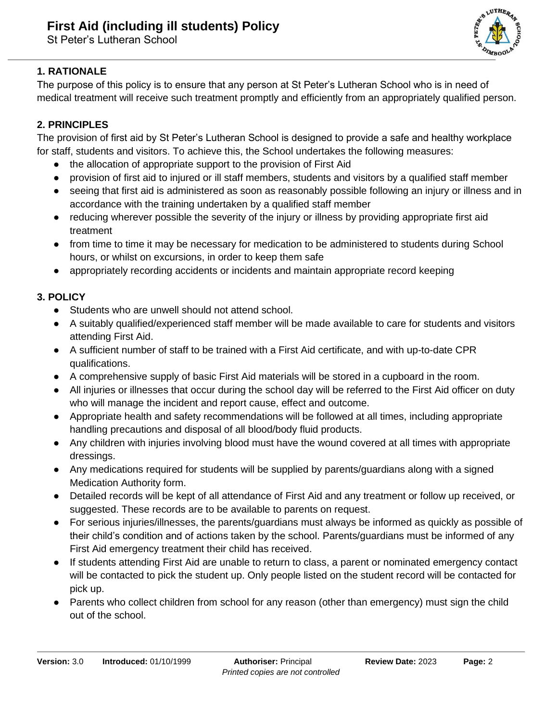St Peter's Lutheran School



#### **1. RATIONALE**

The purpose of this policy is to ensure that any person at St Peter's Lutheran School who is in need of medical treatment will receive such treatment promptly and efficiently from an appropriately qualified person.

## **2. PRINCIPLES**

The provision of first aid by St Peter's Lutheran School is designed to provide a safe and healthy workplace for staff, students and visitors. To achieve this, the School undertakes the following measures:

- the allocation of appropriate support to the provision of First Aid
- provision of first aid to injured or ill staff members, students and visitors by a qualified staff member
- seeing that first aid is administered as soon as reasonably possible following an injury or illness and in accordance with the training undertaken by a qualified staff member
- reducing wherever possible the severity of the injury or illness by providing appropriate first aid treatment
- from time to time it may be necessary for medication to be administered to students during School hours, or whilst on excursions, in order to keep them safe
- appropriately recording accidents or incidents and maintain appropriate record keeping

## **3. POLICY**

- Students who are unwell should not attend school.
- A suitably qualified/experienced staff member will be made available to care for students and visitors attending First Aid.
- A sufficient number of staff to be trained with a First Aid certificate, and with up-to-date CPR qualifications.
- A comprehensive supply of basic First Aid materials will be stored in a cupboard in the room.
- All injuries or illnesses that occur during the school day will be referred to the First Aid officer on duty who will manage the incident and report cause, effect and outcome.
- Appropriate health and safety recommendations will be followed at all times, including appropriate handling precautions and disposal of all blood/body fluid products.
- Any children with injuries involving blood must have the wound covered at all times with appropriate dressings.
- Any medications required for students will be supplied by parents/guardians along with a signed Medication Authority form.
- Detailed records will be kept of all attendance of First Aid and any treatment or follow up received, or suggested. These records are to be available to parents on request.
- For serious injuries/illnesses, the parents/guardians must always be informed as quickly as possible of their child's condition and of actions taken by the school. Parents/guardians must be informed of any First Aid emergency treatment their child has received.
- If students attending First Aid are unable to return to class, a parent or nominated emergency contact will be contacted to pick the student up. Only people listed on the student record will be contacted for pick up.
- Parents who collect children from school for any reason (other than emergency) must sign the child out of the school.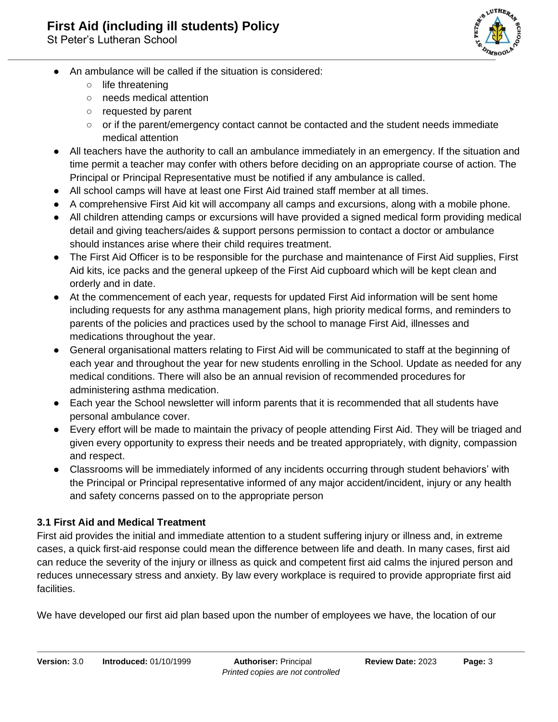St Peter's Lutheran School



- An ambulance will be called if the situation is considered:
	- life threatening
	- needs medical attention
	- requested by parent
	- or if the parent/emergency contact cannot be contacted and the student needs immediate medical attention
- All teachers have the authority to call an ambulance immediately in an emergency. If the situation and time permit a teacher may confer with others before deciding on an appropriate course of action. The Principal or Principal Representative must be notified if any ambulance is called.
- All school camps will have at least one First Aid trained staff member at all times.
- A comprehensive First Aid kit will accompany all camps and excursions, along with a mobile phone.
- All children attending camps or excursions will have provided a signed medical form providing medical detail and giving teachers/aides & support persons permission to contact a doctor or ambulance should instances arise where their child requires treatment.
- The First Aid Officer is to be responsible for the purchase and maintenance of First Aid supplies, First Aid kits, ice packs and the general upkeep of the First Aid cupboard which will be kept clean and orderly and in date.
- At the commencement of each year, requests for updated First Aid information will be sent home including requests for any asthma management plans, high priority medical forms, and reminders to parents of the policies and practices used by the school to manage First Aid, illnesses and medications throughout the year.
- General organisational matters relating to First Aid will be communicated to staff at the beginning of each year and throughout the year for new students enrolling in the School. Update as needed for any medical conditions. There will also be an annual revision of recommended procedures for administering asthma medication.
- Each year the School newsletter will inform parents that it is recommended that all students have personal ambulance cover.
- Every effort will be made to maintain the privacy of people attending First Aid. They will be triaged and given every opportunity to express their needs and be treated appropriately, with dignity, compassion and respect.
- Classrooms will be immediately informed of any incidents occurring through student behaviors' with the Principal or Principal representative informed of any major accident/incident, injury or any health and safety concerns passed on to the appropriate person

## **3.1 First Aid and Medical Treatment**

First aid provides the initial and immediate attention to a student suffering injury or illness and, in extreme cases, a quick first-aid response could mean the difference between life and death. In many cases, first aid can reduce the severity of the injury or illness as quick and competent first aid calms the injured person and reduces unnecessary stress and anxiety. By law every workplace is required to provide appropriate first aid facilities.

We have developed our first aid plan based upon the number of employees we have, the location of our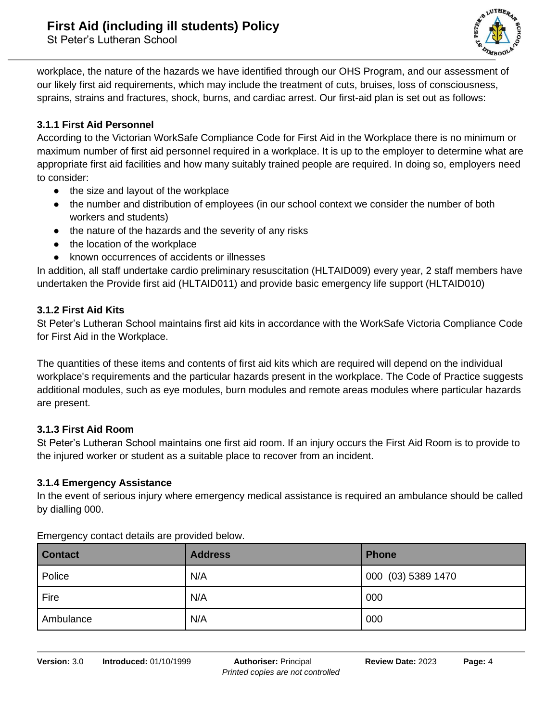St Peter's Lutheran School



workplace, the nature of the hazards we have identified through our OHS Program, and our assessment of our likely first aid requirements, which may include the treatment of cuts, bruises, loss of consciousness, sprains, strains and fractures, shock, burns, and cardiac arrest. Our first-aid plan is set out as follows:

#### **3.1.1 First Aid Personnel**

According to the Victorian WorkSafe Compliance Code for First Aid in the Workplace there is no minimum or maximum number of first aid personnel required in a workplace. It is up to the employer to determine what are appropriate first aid facilities and how many suitably trained people are required. In doing so, employers need to consider:

- the size and layout of the workplace
- the number and distribution of employees (in our school context we consider the number of both workers and students)
- the nature of the hazards and the severity of any risks
- the location of the workplace
- known occurrences of accidents or illnesses

In addition, all staff undertake cardio preliminary resuscitation (HLTAID009) every year, 2 staff members have undertaken the Provide first aid (HLTAID011) and provide basic emergency life support (HLTAID010)

#### **3.1.2 First Aid Kits**

St Peter's Lutheran School maintains first aid kits in accordance with the WorkSafe Victoria Compliance Code for First Aid in the Workplace.

The quantities of these items and contents of first aid kits which are required will depend on the individual workplace's requirements and the particular hazards present in the workplace. The Code of Practice suggests additional modules, such as eye modules, burn modules and remote areas modules where particular hazards are present.

#### **3.1.3 First Aid Room**

St Peter's Lutheran School maintains one first aid room. If an injury occurs the First Aid Room is to provide to the injured worker or student as a suitable place to recover from an incident.

#### **3.1.4 Emergency Assistance**

In the event of serious injury where emergency medical assistance is required an ambulance should be called by dialling 000.

| <b>Contact</b> | <b>Address</b> | <b>Phone</b>       |
|----------------|----------------|--------------------|
| Police         | N/A            | 000 (03) 5389 1470 |
| Fire           | N/A            | 000                |
| Ambulance      | N/A            | 000                |

Emergency contact details are provided below.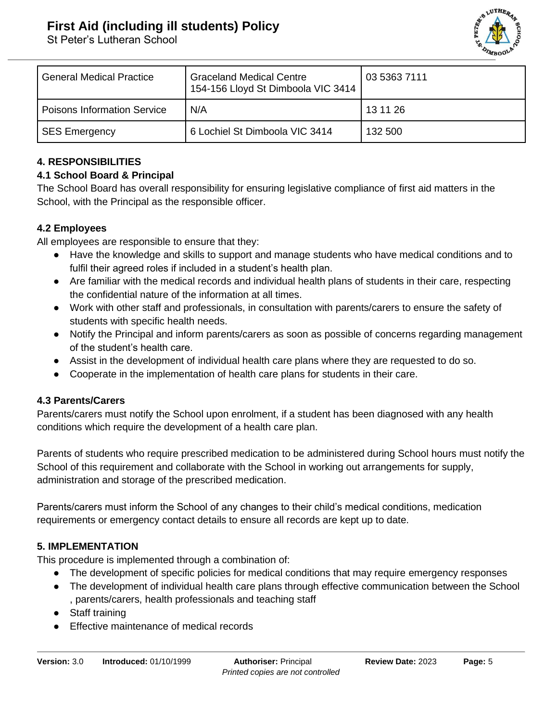St Peter's Lutheran School



| <b>General Medical Practice</b>    | <b>Graceland Medical Centre</b><br>154-156 Lloyd St Dimboola VIC 3414 | 03 5363 7111 |
|------------------------------------|-----------------------------------------------------------------------|--------------|
| <b>Poisons Information Service</b> | N/A                                                                   | 13 11 26     |
| <b>SES Emergency</b>               | 6 Lochiel St Dimboola VIC 3414                                        | 132 500      |

## **4. RESPONSIBILITIES**

## **4.1 School Board & Principal**

The School Board has overall responsibility for ensuring legislative compliance of first aid matters in the School, with the Principal as the responsible officer.

## **4.2 Employees**

All employees are responsible to ensure that they:

- Have the knowledge and skills to support and manage students who have medical conditions and to fulfil their agreed roles if included in a student's health plan.
- Are familiar with the medical records and individual health plans of students in their care, respecting the confidential nature of the information at all times.
- Work with other staff and professionals, in consultation with parents/carers to ensure the safety of students with specific health needs.
- Notify the Principal and inform parents/carers as soon as possible of concerns regarding management of the student's health care.
- Assist in the development of individual health care plans where they are requested to do so.
- Cooperate in the implementation of health care plans for students in their care.

## **4.3 Parents/Carers**

Parents/carers must notify the School upon enrolment, if a student has been diagnosed with any health conditions which require the development of a health care plan.

Parents of students who require prescribed medication to be administered during School hours must notify the School of this requirement and collaborate with the School in working out arrangements for supply, administration and storage of the prescribed medication.

Parents/carers must inform the School of any changes to their child's medical conditions, medication requirements or emergency contact details to ensure all records are kept up to date.

## **5. IMPLEMENTATION**

This procedure is implemented through a combination of:

- The development of specific policies for medical conditions that may require emergency responses
- The development of individual health care plans through effective communication between the School , parents/carers, health professionals and teaching staff
- Staff training
- Effective maintenance of medical records